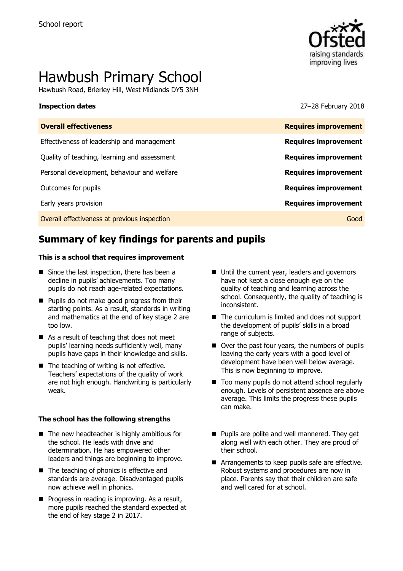

# Hawbush Primary School

Hawbush Road, Brierley Hill, West Midlands DY5 3NH

**Inspection dates** 27–28 February 2018

| <b>Overall effectiveness</b>                 | <b>Requires improvement</b> |
|----------------------------------------------|-----------------------------|
| Effectiveness of leadership and management   | <b>Requires improvement</b> |
| Quality of teaching, learning and assessment | <b>Requires improvement</b> |
| Personal development, behaviour and welfare  | <b>Requires improvement</b> |
| Outcomes for pupils                          | <b>Requires improvement</b> |
| Early years provision                        | <b>Requires improvement</b> |
| Overall effectiveness at previous inspection | Good                        |
|                                              |                             |

# **Summary of key findings for parents and pupils**

#### **This is a school that requires improvement**

- Since the last inspection, there has been a decline in pupils' achievements. Too many pupils do not reach age-related expectations.
- **Pupils do not make good progress from their** starting points. As a result, standards in writing and mathematics at the end of key stage 2 are too low.
- As a result of teaching that does not meet pupils' learning needs sufficiently well, many pupils have gaps in their knowledge and skills.
- The teaching of writing is not effective. Teachers' expectations of the quality of work are not high enough. Handwriting is particularly weak.

#### **The school has the following strengths**

- $\blacksquare$  The new headteacher is highly ambitious for the school. He leads with drive and determination. He has empowered other leaders and things are beginning to improve.
- The teaching of phonics is effective and standards are average. Disadvantaged pupils now achieve well in phonics.
- $\blacksquare$  Progress in reading is improving. As a result, more pupils reached the standard expected at the end of key stage 2 in 2017.
- Until the current year, leaders and governors have not kept a close enough eye on the quality of teaching and learning across the school. Consequently, the quality of teaching is inconsistent.
- The curriculum is limited and does not support the development of pupils' skills in a broad range of subjects.
- Over the past four years, the numbers of pupils leaving the early years with a good level of development have been well below average. This is now beginning to improve.
- Too many pupils do not attend school regularly enough. Levels of persistent absence are above average. This limits the progress these pupils can make.
- **Pupils are polite and well mannered. They get** along well with each other. They are proud of their school.
- **E** Arrangements to keep pupils safe are effective. Robust systems and procedures are now in place. Parents say that their children are safe and well cared for at school.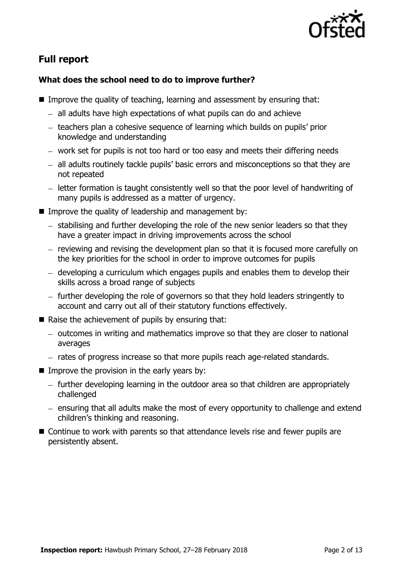

# **Full report**

### **What does the school need to do to improve further?**

- **IMPROVE the quality of teaching, learning and assessment by ensuring that:** 
	- $-$  all adults have high expectations of what pupils can do and achieve
	- teachers plan a cohesive sequence of learning which builds on pupils' prior knowledge and understanding
	- work set for pupils is not too hard or too easy and meets their differing needs
	- all adults routinely tackle pupils' basic errors and misconceptions so that they are not repeated
	- letter formation is taught consistently well so that the poor level of handwriting of many pupils is addressed as a matter of urgency.
- Improve the quality of leadership and management by:
	- $-$  stabilising and further developing the role of the new senior leaders so that they have a greater impact in driving improvements across the school
	- reviewing and revising the development plan so that it is focused more carefully on the key priorities for the school in order to improve outcomes for pupils
	- developing a curriculum which engages pupils and enables them to develop their skills across a broad range of subjects
	- $-$  further developing the role of governors so that they hold leaders stringently to account and carry out all of their statutory functions effectively.
- $\blacksquare$  Raise the achievement of pupils by ensuring that:
	- $-$  outcomes in writing and mathematics improve so that they are closer to national averages
	- rates of progress increase so that more pupils reach age-related standards.
- $\blacksquare$  Improve the provision in the early years by:
	- further developing learning in the outdoor area so that children are appropriately challenged
	- ensuring that all adults make the most of every opportunity to challenge and extend children's thinking and reasoning.
- Continue to work with parents so that attendance levels rise and fewer pupils are persistently absent.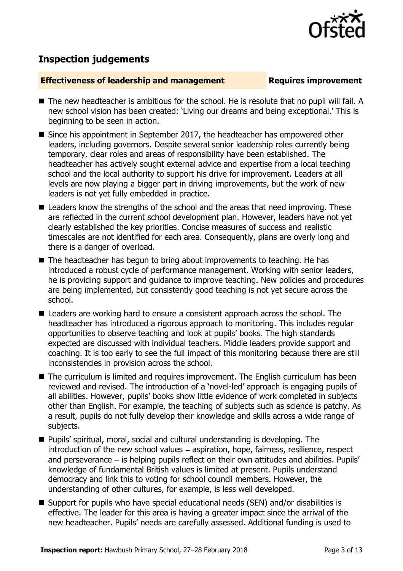

# **Inspection judgements**

#### **Effectiveness of leadership and management Requires improvement**

- The new headteacher is ambitious for the school. He is resolute that no pupil will fail. A new school vision has been created: 'Living our dreams and being exceptional.' This is beginning to be seen in action.
- Since his appointment in September 2017, the headteacher has empowered other leaders, including governors. Despite several senior leadership roles currently being temporary, clear roles and areas of responsibility have been established. The headteacher has actively sought external advice and expertise from a local teaching school and the local authority to support his drive for improvement. Leaders at all levels are now playing a bigger part in driving improvements, but the work of new leaders is not yet fully embedded in practice.
- Leaders know the strengths of the school and the areas that need improving. These are reflected in the current school development plan. However, leaders have not yet clearly established the key priorities. Concise measures of success and realistic timescales are not identified for each area. Consequently, plans are overly long and there is a danger of overload.
- The headteacher has begun to bring about improvements to teaching. He has introduced a robust cycle of performance management. Working with senior leaders, he is providing support and guidance to improve teaching. New policies and procedures are being implemented, but consistently good teaching is not yet secure across the school.
- Leaders are working hard to ensure a consistent approach across the school. The headteacher has introduced a rigorous approach to monitoring. This includes regular opportunities to observe teaching and look at pupils' books. The high standards expected are discussed with individual teachers. Middle leaders provide support and coaching. It is too early to see the full impact of this monitoring because there are still inconsistencies in provision across the school.
- The curriculum is limited and requires improvement. The English curriculum has been reviewed and revised. The introduction of a 'novel-led' approach is engaging pupils of all abilities. However, pupils' books show little evidence of work completed in subjects other than English. For example, the teaching of subjects such as science is patchy. As a result, pupils do not fully develop their knowledge and skills across a wide range of subjects.
- Pupils' spiritual, moral, social and cultural understanding is developing. The  $introduction of the new school values – aspiration, hope, fairness, residue, respectively.$ and perseverance  $-$  is helping pupils reflect on their own attitudes and abilities. Pupils' knowledge of fundamental British values is limited at present. Pupils understand democracy and link this to voting for school council members. However, the understanding of other cultures, for example, is less well developed.
- Support for pupils who have special educational needs (SEN) and/or disabilities is effective. The leader for this area is having a greater impact since the arrival of the new headteacher. Pupils' needs are carefully assessed. Additional funding is used to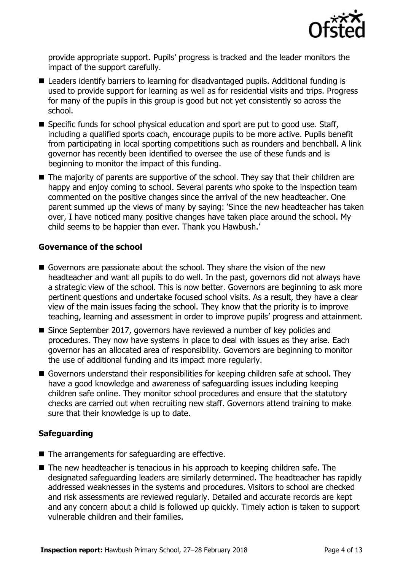

provide appropriate support. Pupils' progress is tracked and the leader monitors the impact of the support carefully.

- Leaders identify barriers to learning for disadvantaged pupils. Additional funding is used to provide support for learning as well as for residential visits and trips. Progress for many of the pupils in this group is good but not yet consistently so across the school.
- Specific funds for school physical education and sport are put to good use. Staff, including a qualified sports coach, encourage pupils to be more active. Pupils benefit from participating in local sporting competitions such as rounders and benchball. A link governor has recently been identified to oversee the use of these funds and is beginning to monitor the impact of this funding.
- $\blacksquare$  The majority of parents are supportive of the school. They say that their children are happy and enjoy coming to school. Several parents who spoke to the inspection team commented on the positive changes since the arrival of the new headteacher. One parent summed up the views of many by saying: 'Since the new headteacher has taken over, I have noticed many positive changes have taken place around the school. My child seems to be happier than ever. Thank you Hawbush.'

#### **Governance of the school**

- Governors are passionate about the school. They share the vision of the new headteacher and want all pupils to do well. In the past, governors did not always have a strategic view of the school. This is now better. Governors are beginning to ask more pertinent questions and undertake focused school visits. As a result, they have a clear view of the main issues facing the school. They know that the priority is to improve teaching, learning and assessment in order to improve pupils' progress and attainment.
- Since September 2017, governors have reviewed a number of key policies and procedures. They now have systems in place to deal with issues as they arise. Each governor has an allocated area of responsibility. Governors are beginning to monitor the use of additional funding and its impact more regularly.
- Governors understand their responsibilities for keeping children safe at school. They have a good knowledge and awareness of safeguarding issues including keeping children safe online. They monitor school procedures and ensure that the statutory checks are carried out when recruiting new staff. Governors attend training to make sure that their knowledge is up to date.

### **Safeguarding**

- $\blacksquare$  The arrangements for safeguarding are effective.
- The new headteacher is tenacious in his approach to keeping children safe. The designated safeguarding leaders are similarly determined. The headteacher has rapidly addressed weaknesses in the systems and procedures. Visitors to school are checked and risk assessments are reviewed regularly. Detailed and accurate records are kept and any concern about a child is followed up quickly. Timely action is taken to support vulnerable children and their families.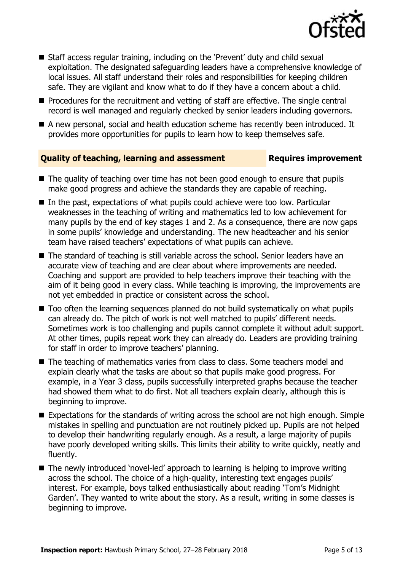

- Staff access regular training, including on the 'Prevent' duty and child sexual exploitation. The designated safeguarding leaders have a comprehensive knowledge of local issues. All staff understand their roles and responsibilities for keeping children safe. They are vigilant and know what to do if they have a concern about a child.
- **Procedures for the recruitment and vetting of staff are effective. The single central** record is well managed and regularly checked by senior leaders including governors.
- A new personal, social and health education scheme has recently been introduced. It provides more opportunities for pupils to learn how to keep themselves safe.

#### **Quality of teaching, learning and assessment France Requires improvement**

- 
- The quality of teaching over time has not been good enough to ensure that pupils make good progress and achieve the standards they are capable of reaching.
- In the past, expectations of what pupils could achieve were too low. Particular weaknesses in the teaching of writing and mathematics led to low achievement for many pupils by the end of key stages 1 and 2. As a consequence, there are now gaps in some pupils' knowledge and understanding. The new headteacher and his senior team have raised teachers' expectations of what pupils can achieve.
- The standard of teaching is still variable across the school. Senior leaders have an accurate view of teaching and are clear about where improvements are needed. Coaching and support are provided to help teachers improve their teaching with the aim of it being good in every class. While teaching is improving, the improvements are not yet embedded in practice or consistent across the school.
- Too often the learning sequences planned do not build systematically on what pupils can already do. The pitch of work is not well matched to pupils' different needs. Sometimes work is too challenging and pupils cannot complete it without adult support. At other times, pupils repeat work they can already do. Leaders are providing training for staff in order to improve teachers' planning.
- The teaching of mathematics varies from class to class. Some teachers model and explain clearly what the tasks are about so that pupils make good progress. For example, in a Year 3 class, pupils successfully interpreted graphs because the teacher had showed them what to do first. Not all teachers explain clearly, although this is beginning to improve.
- Expectations for the standards of writing across the school are not high enough. Simple mistakes in spelling and punctuation are not routinely picked up. Pupils are not helped to develop their handwriting regularly enough. As a result, a large majority of pupils have poorly developed writing skills. This limits their ability to write quickly, neatly and fluently.
- The newly introduced 'novel-led' approach to learning is helping to improve writing across the school. The choice of a high-quality, interesting text engages pupils' interest. For example, boys talked enthusiastically about reading 'Tom's Midnight Garden'. They wanted to write about the story. As a result, writing in some classes is beginning to improve.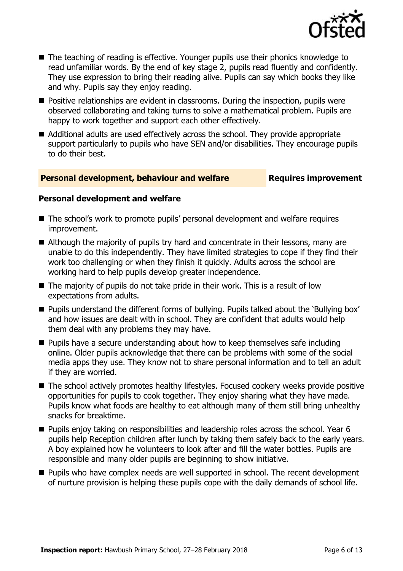

- The teaching of reading is effective. Younger pupils use their phonics knowledge to read unfamiliar words. By the end of key stage 2, pupils read fluently and confidently. They use expression to bring their reading alive. Pupils can say which books they like and why. Pupils say they enjoy reading.
- **Positive relationships are evident in classrooms. During the inspection, pupils were** observed collaborating and taking turns to solve a mathematical problem. Pupils are happy to work together and support each other effectively.
- Additional adults are used effectively across the school. They provide appropriate support particularly to pupils who have SEN and/or disabilities. They encourage pupils to do their best.

#### **Personal development, behaviour and welfare <b>Requires improvement**

#### **Personal development and welfare**

- The school's work to promote pupils' personal development and welfare requires improvement.
- Although the majority of pupils try hard and concentrate in their lessons, many are unable to do this independently. They have limited strategies to cope if they find their work too challenging or when they finish it quickly. Adults across the school are working hard to help pupils develop greater independence.
- $\blacksquare$  The majority of pupils do not take pride in their work. This is a result of low expectations from adults.
- **Pupils understand the different forms of bullying. Pupils talked about the 'Bullying box'** and how issues are dealt with in school. They are confident that adults would help them deal with any problems they may have.
- **Pupils have a secure understanding about how to keep themselves safe including** online. Older pupils acknowledge that there can be problems with some of the social media apps they use. They know not to share personal information and to tell an adult if they are worried.
- The school actively promotes healthy lifestyles. Focused cookery weeks provide positive opportunities for pupils to cook together. They enjoy sharing what they have made. Pupils know what foods are healthy to eat although many of them still bring unhealthy snacks for breaktime.
- **Pupils enjoy taking on responsibilities and leadership roles across the school. Year 6** pupils help Reception children after lunch by taking them safely back to the early years. A boy explained how he volunteers to look after and fill the water bottles. Pupils are responsible and many older pupils are beginning to show initiative.
- Pupils who have complex needs are well supported in school. The recent development of nurture provision is helping these pupils cope with the daily demands of school life.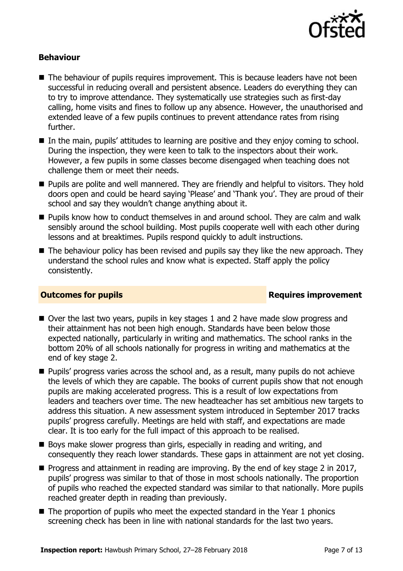

#### **Behaviour**

- The behaviour of pupils requires improvement. This is because leaders have not been successful in reducing overall and persistent absence. Leaders do everything they can to try to improve attendance. They systematically use strategies such as first-day calling, home visits and fines to follow up any absence. However, the unauthorised and extended leave of a few pupils continues to prevent attendance rates from rising further.
- In the main, pupils' attitudes to learning are positive and they enjoy coming to school. During the inspection, they were keen to talk to the inspectors about their work. However, a few pupils in some classes become disengaged when teaching does not challenge them or meet their needs.
- **Pupils are polite and well mannered. They are friendly and helpful to visitors. They hold** doors open and could be heard saying 'Please' and 'Thank you'. They are proud of their school and say they wouldn't change anything about it.
- **Pupils know how to conduct themselves in and around school. They are calm and walk** sensibly around the school building. Most pupils cooperate well with each other during lessons and at breaktimes. Pupils respond quickly to adult instructions.
- $\blacksquare$  The behaviour policy has been revised and pupils say they like the new approach. They understand the school rules and know what is expected. Staff apply the policy consistently.

#### **Outcomes for pupils Requires improvement**

- Over the last two years, pupils in key stages 1 and 2 have made slow progress and their attainment has not been high enough. Standards have been below those expected nationally, particularly in writing and mathematics. The school ranks in the bottom 20% of all schools nationally for progress in writing and mathematics at the end of key stage 2.
- **Pupils' progress varies across the school and, as a result, many pupils do not achieve** the levels of which they are capable. The books of current pupils show that not enough pupils are making accelerated progress. This is a result of low expectations from leaders and teachers over time. The new headteacher has set ambitious new targets to address this situation. A new assessment system introduced in September 2017 tracks pupils' progress carefully. Meetings are held with staff, and expectations are made clear. It is too early for the full impact of this approach to be realised.
- Boys make slower progress than girls, especially in reading and writing, and consequently they reach lower standards. These gaps in attainment are not yet closing.
- **Progress and attainment in reading are improving. By the end of key stage 2 in 2017,** pupils' progress was similar to that of those in most schools nationally. The proportion of pupils who reached the expected standard was similar to that nationally. More pupils reached greater depth in reading than previously.
- $\blacksquare$  The proportion of pupils who meet the expected standard in the Year 1 phonics screening check has been in line with national standards for the last two years.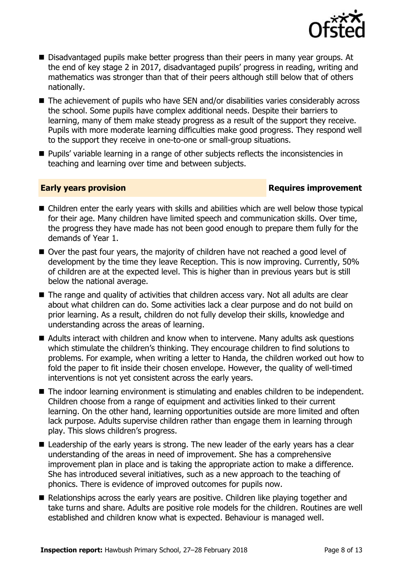

- Disadvantaged pupils make better progress than their peers in many year groups. At the end of key stage 2 in 2017, disadvantaged pupils' progress in reading, writing and mathematics was stronger than that of their peers although still below that of others nationally.
- The achievement of pupils who have SEN and/or disabilities varies considerably across the school. Some pupils have complex additional needs. Despite their barriers to learning, many of them make steady progress as a result of the support they receive. Pupils with more moderate learning difficulties make good progress. They respond well to the support they receive in one-to-one or small-group situations.
- **Pupils'** variable learning in a range of other subjects reflects the inconsistencies in teaching and learning over time and between subjects.

### **Early years provision**

- Children enter the early years with skills and abilities which are well below those typical for their age. Many children have limited speech and communication skills. Over time, the progress they have made has not been good enough to prepare them fully for the demands of Year 1.
- Over the past four years, the majority of children have not reached a good level of development by the time they leave Reception. This is now improving. Currently, 50% of children are at the expected level. This is higher than in previous years but is still below the national average.
- The range and quality of activities that children access vary. Not all adults are clear about what children can do. Some activities lack a clear purpose and do not build on prior learning. As a result, children do not fully develop their skills, knowledge and understanding across the areas of learning.
- Adults interact with children and know when to intervene. Many adults ask questions which stimulate the children's thinking. They encourage children to find solutions to problems. For example, when writing a letter to Handa, the children worked out how to fold the paper to fit inside their chosen envelope. However, the quality of well-timed interventions is not yet consistent across the early years.
- The indoor learning environment is stimulating and enables children to be independent. Children choose from a range of equipment and activities linked to their current learning. On the other hand, learning opportunities outside are more limited and often lack purpose. Adults supervise children rather than engage them in learning through play. This slows children's progress.
- Leadership of the early years is strong. The new leader of the early years has a clear understanding of the areas in need of improvement. She has a comprehensive improvement plan in place and is taking the appropriate action to make a difference. She has introduced several initiatives, such as a new approach to the teaching of phonics. There is evidence of improved outcomes for pupils now.
- Relationships across the early years are positive. Children like playing together and take turns and share. Adults are positive role models for the children. Routines are well established and children know what is expected. Behaviour is managed well.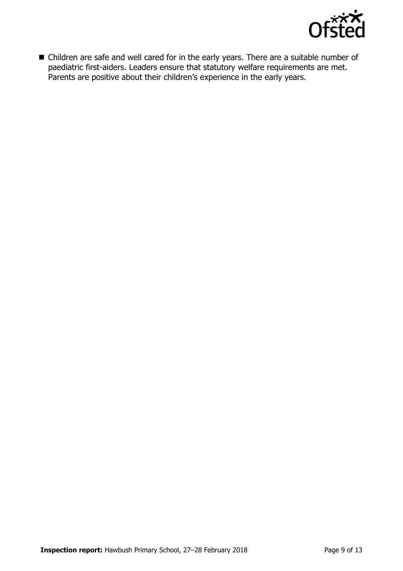

■ Children are safe and well cared for in the early years. There are a suitable number of paediatric first-aiders. Leaders ensure that statutory welfare requirements are met. Parents are positive about their children's experience in the early years.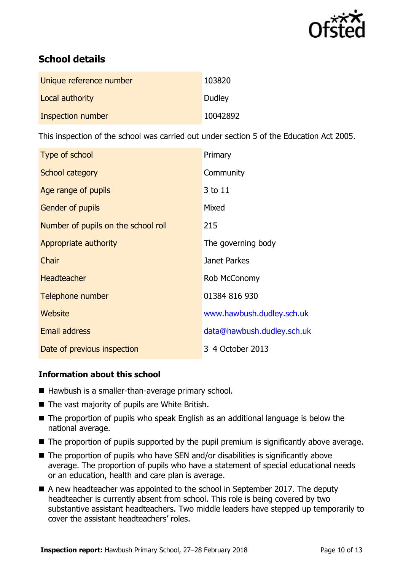

# **School details**

| Unique reference number | 103820   |
|-------------------------|----------|
| Local authority         | Dudley   |
| Inspection number       | 10042892 |

This inspection of the school was carried out under section 5 of the Education Act 2005.

| Type of school                      | Primary                    |
|-------------------------------------|----------------------------|
| School category                     | Community                  |
| Age range of pupils                 | 3 to 11                    |
| Gender of pupils                    | Mixed                      |
| Number of pupils on the school roll | 215                        |
| Appropriate authority               | The governing body         |
| Chair                               | Janet Parkes               |
| <b>Headteacher</b>                  | Rob McConomy               |
| Telephone number                    | 01384 816 930              |
| Website                             | www.hawbush.dudley.sch.uk  |
| <b>Email address</b>                | data@hawbush.dudley.sch.uk |
| Date of previous inspection         | 3-4 October 2013           |

### **Information about this school**

- Hawbush is a smaller-than-average primary school.
- $\blacksquare$  The vast majority of pupils are White British.
- The proportion of pupils who speak English as an additional language is below the national average.
- The proportion of pupils supported by the pupil premium is significantly above average.
- $\blacksquare$  The proportion of pupils who have SEN and/or disabilities is significantly above average. The proportion of pupils who have a statement of special educational needs or an education, health and care plan is average.
- A new headteacher was appointed to the school in September 2017. The deputy headteacher is currently absent from school. This role is being covered by two substantive assistant headteachers. Two middle leaders have stepped up temporarily to cover the assistant headteachers' roles.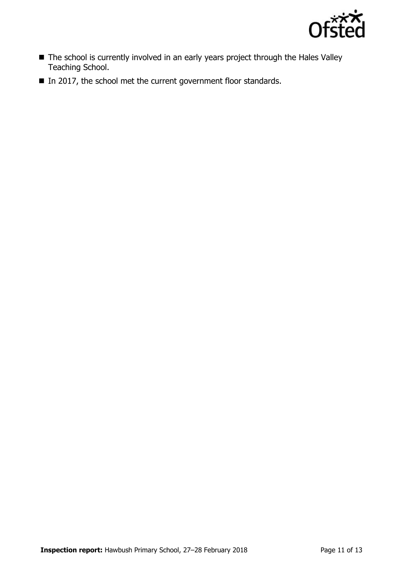

- The school is currently involved in an early years project through the Hales Valley Teaching School.
- In 2017, the school met the current government floor standards.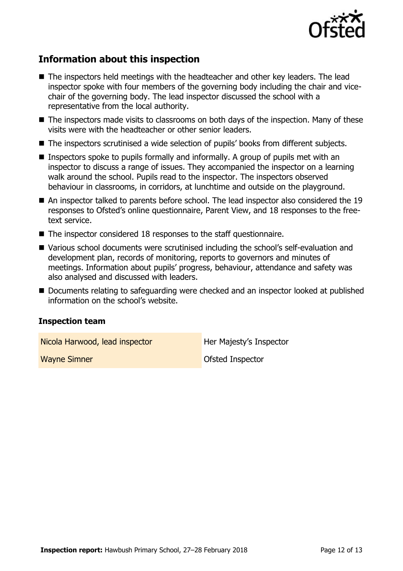

# **Information about this inspection**

- The inspectors held meetings with the headteacher and other key leaders. The lead inspector spoke with four members of the governing body including the chair and vicechair of the governing body. The lead inspector discussed the school with a representative from the local authority.
- The inspectors made visits to classrooms on both days of the inspection. Many of these visits were with the headteacher or other senior leaders.
- The inspectors scrutinised a wide selection of pupils' books from different subjects.
- **Inspectors spoke to pupils formally and informally. A group of pupils met with an** inspector to discuss a range of issues. They accompanied the inspector on a learning walk around the school. Pupils read to the inspector. The inspectors observed behaviour in classrooms, in corridors, at lunchtime and outside on the playground.
- An inspector talked to parents before school. The lead inspector also considered the 19 responses to Ofsted's online questionnaire, Parent View, and 18 responses to the freetext service.
- The inspector considered 18 responses to the staff questionnaire.
- Various school documents were scrutinised including the school's self-evaluation and development plan, records of monitoring, reports to governors and minutes of meetings. Information about pupils' progress, behaviour, attendance and safety was also analysed and discussed with leaders.
- Documents relating to safeguarding were checked and an inspector looked at published information on the school's website.

#### **Inspection team**

Nicola Harwood, lead inspector **Her Majesty's Inspector** 

Wayne Simner Contract Contract Contract Contract Contract Contract Contract Contract Contract Contract Contract Contract Contract Contract Contract Contract Contract Contract Contract Contract Contract Contract Contract Co